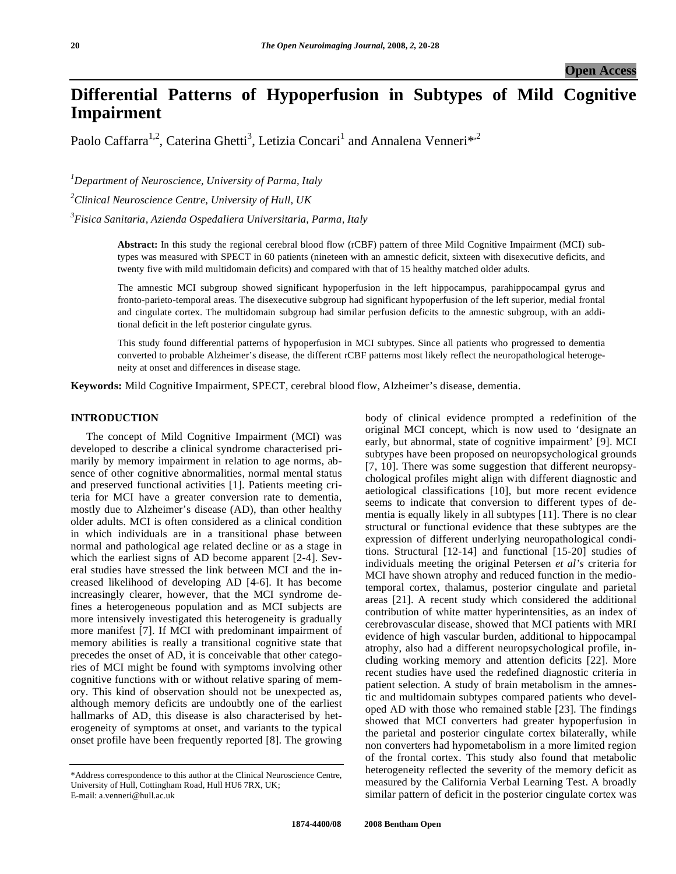# **Differential Patterns of Hypoperfusion in Subtypes of Mild Cognitive Impairment**

Paolo Caffarra<sup>1,2</sup>, Caterina Ghetti<sup>3</sup>, Letizia Concari<sup>1</sup> and Annalena Venneri<sup>\*,2</sup>

*1 Department of Neuroscience, University of Parma, Italy* 

*2 Clinical Neuroscience Centre, University of Hull, UK* 

*3 Fisica Sanitaria, Azienda Ospedaliera Universitaria, Parma, Italy* 

**Abstract:** In this study the regional cerebral blood flow (rCBF) pattern of three Mild Cognitive Impairment (MCI) subtypes was measured with SPECT in 60 patients (nineteen with an amnestic deficit, sixteen with disexecutive deficits, and twenty five with mild multidomain deficits) and compared with that of 15 healthy matched older adults.

The amnestic MCI subgroup showed significant hypoperfusion in the left hippocampus, parahippocampal gyrus and fronto-parieto-temporal areas. The disexecutive subgroup had significant hypoperfusion of the left superior, medial frontal and cingulate cortex. The multidomain subgroup had similar perfusion deficits to the amnestic subgroup, with an additional deficit in the left posterior cingulate gyrus.

This study found differential patterns of hypoperfusion in MCI subtypes. Since all patients who progressed to dementia converted to probable Alzheimer's disease, the different rCBF patterns most likely reflect the neuropathological heterogeneity at onset and differences in disease stage.

**Keywords:** Mild Cognitive Impairment, SPECT, cerebral blood flow, Alzheimer's disease, dementia.

# **INTRODUCTION**

 The concept of Mild Cognitive Impairment (MCI) was developed to describe a clinical syndrome characterised primarily by memory impairment in relation to age norms, absence of other cognitive abnormalities, normal mental status and preserved functional activities [1]. Patients meeting criteria for MCI have a greater conversion rate to dementia, mostly due to Alzheimer's disease (AD), than other healthy older adults. MCI is often considered as a clinical condition in which individuals are in a transitional phase between normal and pathological age related decline or as a stage in which the earliest signs of AD become apparent [2-4]. Several studies have stressed the link between MCI and the increased likelihood of developing AD [4-6]. It has become increasingly clearer, however, that the MCI syndrome defines a heterogeneous population and as MCI subjects are more intensively investigated this heterogeneity is gradually more manifest [7]. If MCI with predominant impairment of memory abilities is really a transitional cognitive state that precedes the onset of AD, it is conceivable that other categories of MCI might be found with symptoms involving other cognitive functions with or without relative sparing of memory. This kind of observation should not be unexpected as, although memory deficits are undoubtly one of the earliest hallmarks of AD, this disease is also characterised by heterogeneity of symptoms at onset, and variants to the typical onset profile have been frequently reported [8]. The growing

body of clinical evidence prompted a redefinition of the original MCI concept, which is now used to 'designate an early, but abnormal, state of cognitive impairment' [9]. MCI subtypes have been proposed on neuropsychological grounds [7, 10]. There was some suggestion that different neuropsychological profiles might align with different diagnostic and aetiological classifications [10], but more recent evidence seems to indicate that conversion to different types of dementia is equally likely in all subtypes [11]. There is no clear structural or functional evidence that these subtypes are the expression of different underlying neuropathological conditions. Structural [12-14] and functional [15-20] studies of individuals meeting the original Petersen *et al's* criteria for MCI have shown atrophy and reduced function in the mediotemporal cortex, thalamus, posterior cingulate and parietal areas [21]. A recent study which considered the additional contribution of white matter hyperintensities, as an index of cerebrovascular disease, showed that MCI patients with MRI evidence of high vascular burden, additional to hippocampal atrophy, also had a different neuropsychological profile, including working memory and attention deficits [22]. More recent studies have used the redefined diagnostic criteria in patient selection. A study of brain metabolism in the amnestic and multidomain subtypes compared patients who developed AD with those who remained stable [23]. The findings showed that MCI converters had greater hypoperfusion in the parietal and posterior cingulate cortex bilaterally, while non converters had hypometabolism in a more limited region of the frontal cortex. This study also found that metabolic heterogeneity reflected the severity of the memory deficit as measured by the California Verbal Learning Test. A broadly similar pattern of deficit in the posterior cingulate cortex was

<sup>\*</sup>Address correspondence to this author at the Clinical Neuroscience Centre, University of Hull, Cottingham Road, Hull HU6 7RX, UK; E-mail: a.venneri@hull.ac.uk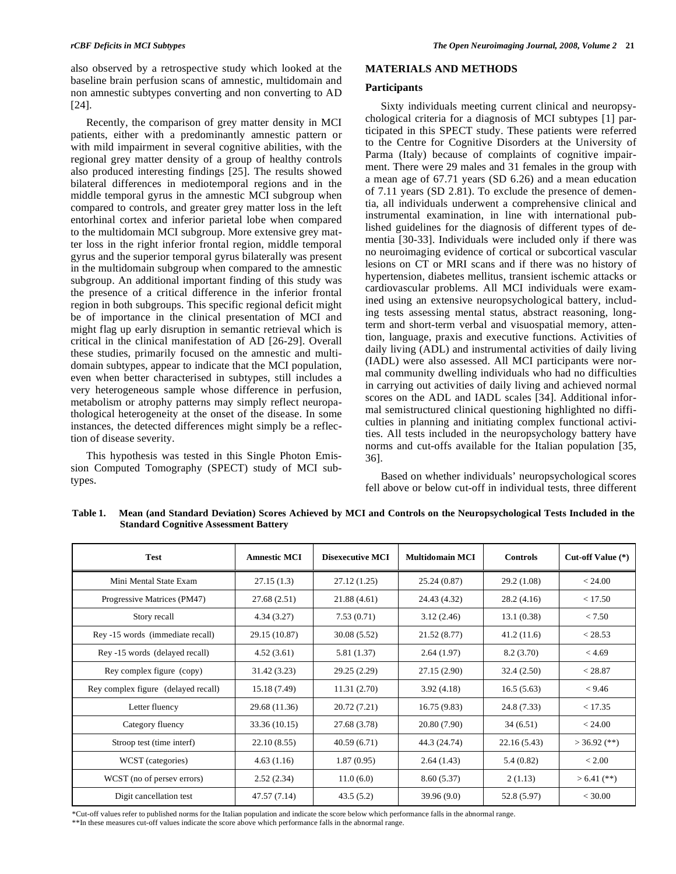also observed by a retrospective study which looked at the baseline brain perfusion scans of amnestic, multidomain and non amnestic subtypes converting and non converting to AD [24].

 Recently, the comparison of grey matter density in MCI patients, either with a predominantly amnestic pattern or with mild impairment in several cognitive abilities, with the regional grey matter density of a group of healthy controls also produced interesting findings [25]. The results showed bilateral differences in mediotemporal regions and in the middle temporal gyrus in the amnestic MCI subgroup when compared to controls, and greater grey matter loss in the left entorhinal cortex and inferior parietal lobe when compared to the multidomain MCI subgroup. More extensive grey matter loss in the right inferior frontal region, middle temporal gyrus and the superior temporal gyrus bilaterally was present in the multidomain subgroup when compared to the amnestic subgroup. An additional important finding of this study was the presence of a critical difference in the inferior frontal region in both subgroups. This specific regional deficit might be of importance in the clinical presentation of MCI and might flag up early disruption in semantic retrieval which is critical in the clinical manifestation of AD [26-29]. Overall these studies, primarily focused on the amnestic and multidomain subtypes, appear to indicate that the MCI population, even when better characterised in subtypes, still includes a very heterogeneous sample whose difference in perfusion, metabolism or atrophy patterns may simply reflect neuropathological heterogeneity at the onset of the disease. In some instances, the detected differences might simply be a reflection of disease severity.

 This hypothesis was tested in this Single Photon Emission Computed Tomography (SPECT) study of MCI subtypes.

# **MATERIALS AND METHODS**

## **Participants**

 Sixty individuals meeting current clinical and neuropsychological criteria for a diagnosis of MCI subtypes [1] participated in this SPECT study. These patients were referred to the Centre for Cognitive Disorders at the University of Parma (Italy) because of complaints of cognitive impairment. There were 29 males and 31 females in the group with a mean age of 67.71 years (SD 6.26) and a mean education of 7.11 years (SD 2.81). To exclude the presence of dementia, all individuals underwent a comprehensive clinical and instrumental examination, in line with international published guidelines for the diagnosis of different types of dementia [30-33]. Individuals were included only if there was no neuroimaging evidence of cortical or subcortical vascular lesions on CT or MRI scans and if there was no history of hypertension, diabetes mellitus, transient ischemic attacks or cardiovascular problems. All MCI individuals were examined using an extensive neuropsychological battery, including tests assessing mental status, abstract reasoning, longterm and short-term verbal and visuospatial memory, attention, language, praxis and executive functions. Activities of daily living (ADL) and instrumental activities of daily living (IADL) were also assessed. All MCI participants were normal community dwelling individuals who had no difficulties in carrying out activities of daily living and achieved normal scores on the ADL and IADL scales [34]. Additional informal semistructured clinical questioning highlighted no difficulties in planning and initiating complex functional activities. All tests included in the neuropsychology battery have norms and cut-offs available for the Italian population [35, 36].

 Based on whether individuals' neuropsychological scores fell above or below cut-off in individual tests, three different

| <b>Test</b>                         | <b>Amnestic MCI</b> | <b>Disexecutive MCI</b> | <b>Multidomain MCI</b> | <b>Controls</b> | Cut-off Value $(*)$ |
|-------------------------------------|---------------------|-------------------------|------------------------|-----------------|---------------------|
| Mini Mental State Exam              | 27.15(1.3)          | 27.12(1.25)             | 25.24 (0.87)           | 29.2(1.08)      | < 24.00             |
| Progressive Matrices (PM47)         | 27.68 (2.51)        | 21.88 (4.61)            | 24.43 (4.32)           | 28.2(4.16)      | < 17.50             |
| Story recall                        | 4.34(3.27)          | 7.53(0.71)              | 3.12(2.46)             | 13.1(0.38)      | < 7.50              |
| Rey -15 words (immediate recall)    | 29.15 (10.87)       | 30.08 (5.52)            | 21.52 (8.77)           | 41.2(11.6)      | < 28.53             |
| Rey -15 words (delayed recall)      | 4.52(3.61)          | 5.81 (1.37)             | 2.64(1.97)             | 8.2(3.70)       | < 4.69              |
| Rey complex figure (copy)           | 31.42 (3.23)        | 29.25 (2.29)            | 27.15 (2.90)           | 32.4 (2.50)     | < 28.87             |
| Rey complex figure (delayed recall) | 15.18 (7.49)        | 11.31(2.70)             | 3.92(4.18)             | 16.5(5.63)      | < 9.46              |
| Letter fluency                      | 29.68 (11.36)       | 20.72 (7.21)            | 16.75(9.83)            | 24.8 (7.33)     | < 17.35             |
| Category fluency                    | 33.36 (10.15)       | 27.68 (3.78)            | 20.80 (7.90)           | 34(6.51)        | < 24.00             |
| Stroop test (time interf)           | 22.10 (8.55)        | 40.59(6.71)             | 44.3 (24.74)           | 22.16 (5.43)    | $>$ 36.92 (**)      |
| WCST (categories)                   | 4.63(1.16)          | 1.87(0.95)              | 2.64(1.43)             | 5.4(0.82)       | < 2.00              |
| WCST (no of persev errors)          | 2.52(2.34)          | 11.0(6.0)               | 8.60 (5.37)            | 2(1.13)         | $> 6.41$ (**)       |
| Digit cancellation test             | 47.57 (7.14)        | 43.5(5.2)               | 39.96(9.0)             | 52.8 (5.97)     | $<$ 30.00           |

**Table 1. Mean (and Standard Deviation) Scores Achieved by MCI and Controls on the Neuropsychological Tests Included in the Standard Cognitive Assessment Battery** 

\*Cut-off values refer to published norms for the Italian population and indicate the score below which performance falls in the abnormal range.

\*\*In these measures cut-off values indicate the score above which performance falls in the abnormal range.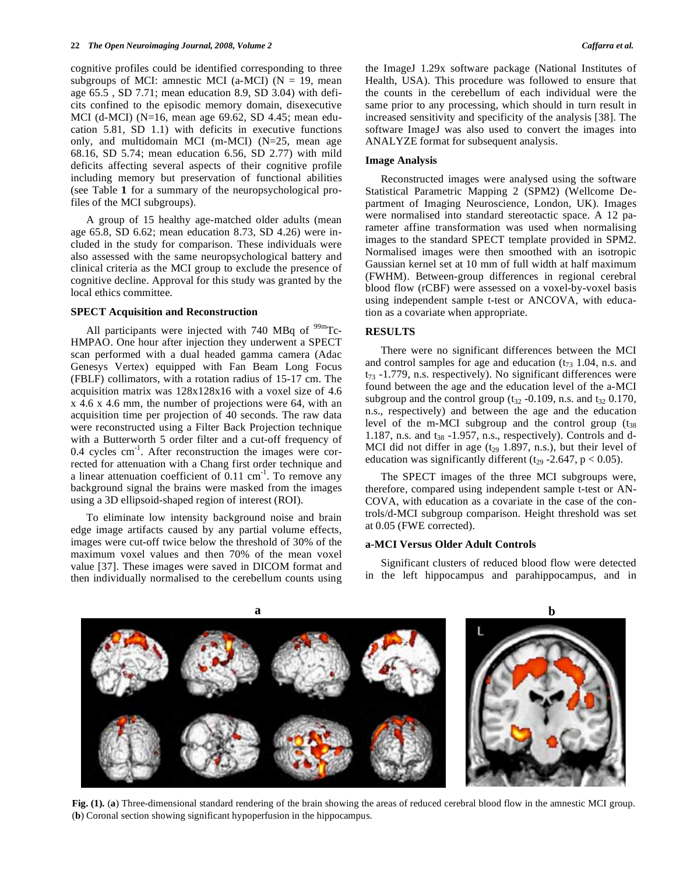cognitive profiles could be identified corresponding to three subgroups of MCI: amnestic MCI (a-MCI) ( $N = 19$ , mean age 65.5 , SD 7.71; mean education 8.9, SD 3.04) with deficits confined to the episodic memory domain, disexecutive MCI (d-MCI) (N=16, mean age 69.62, SD 4.45; mean education 5.81, SD 1.1) with deficits in executive functions only, and multidomain MCI (m-MCI) (N=25, mean age 68.16, SD 5.74; mean education 6.56, SD 2.77) with mild deficits affecting several aspects of their cognitive profile including memory but preservation of functional abilities (see Table **1** for a summary of the neuropsychological profiles of the MCI subgroups).

 A group of 15 healthy age-matched older adults (mean age 65.8, SD 6.62; mean education 8.73, SD 4.26) were included in the study for comparison. These individuals were also assessed with the same neuropsychological battery and clinical criteria as the MCI group to exclude the presence of cognitive decline. Approval for this study was granted by the local ethics committee.

## **SPECT Acquisition and Reconstruction**

All participants were injected with 740 MBq of  $99m$ Tc-HMPAO. One hour after injection they underwent a SPECT scan performed with a dual headed gamma camera (Adac Genesys Vertex) equipped with Fan Beam Long Focus (FBLF) collimators, with a rotation radius of 15-17 cm. The acquisition matrix was 128x128x16 with a voxel size of 4.6 x 4.6 x 4.6 mm, the number of projections were 64, with an acquisition time per projection of 40 seconds. The raw data were reconstructed using a Filter Back Projection technique with a Butterworth 5 order filter and a cut-off frequency of 0.4 cycles cm-1. After reconstruction the images were corrected for attenuation with a Chang first order technique and a linear attenuation coefficient of  $0.11 \text{ cm}^{-1}$ . To remove any background signal the brains were masked from the images using a 3D ellipsoid-shaped region of interest (ROI).

 To eliminate low intensity background noise and brain edge image artifacts caused by any partial volume effects, images were cut-off twice below the threshold of 30% of the maximum voxel values and then 70% of the mean voxel value [37]. These images were saved in DICOM format and then individually normalised to the cerebellum counts using the ImageJ 1.29x software package (National Institutes of Health, USA). This procedure was followed to ensure that the counts in the cerebellum of each individual were the same prior to any processing, which should in turn result in increased sensitivity and specificity of the analysis [38]. The software ImageJ was also used to convert the images into ANALYZE format for subsequent analysis.

#### **Image Analysis**

 Reconstructed images were analysed using the software Statistical Parametric Mapping 2 (SPM2) (Wellcome Department of Imaging Neuroscience, London, UK). Images were normalised into standard stereotactic space. A 12 parameter affine transformation was used when normalising images to the standard SPECT template provided in SPM2. Normalised images were then smoothed with an isotropic Gaussian kernel set at 10 mm of full width at half maximum (FWHM). Between-group differences in regional cerebral blood flow (rCBF) were assessed on a voxel-by-voxel basis using independent sample t-test or ANCOVA, with education as a covariate when appropriate.

## **RESULTS**

 There were no significant differences between the MCI and control samples for age and education  $(t_{73} 1.04, n.s.$  and  $t_{73}$  -1.779, n.s. respectively). No significant differences were found between the age and the education level of the a-MCI subgroup and the control group  $(t_{32} -0.109)$ , n.s. and  $t_{32}$  0.170, n.s., respectively) and between the age and the education level of the m-MCI subgroup and the control group  $(t_{38})$ 1.187, n.s. and  $t_{38}$  -1.957, n.s., respectively). Controls and d-MCI did not differ in age  $(t_{29}$  1.897, n.s.), but their level of education was significantly different ( $t_{29}$  -2.647,  $p < 0.05$ ).

 The SPECT images of the three MCI subgroups were, therefore, compared using independent sample t-test or AN-COVA, with education as a covariate in the case of the controls/d-MCI subgroup comparison. Height threshold was set at 0.05 (FWE corrected).

# **a-MCI Versus Older Adult Controls**

 Significant clusters of reduced blood flow were detected in the left hippocampus and parahippocampus, and in



**Fig. (1).** (**a**) Three-dimensional standard rendering of the brain showing the areas of reduced cerebral blood flow in the amnestic MCI group. (**b**) Coronal section showing significant hypoperfusion in the hippocampus.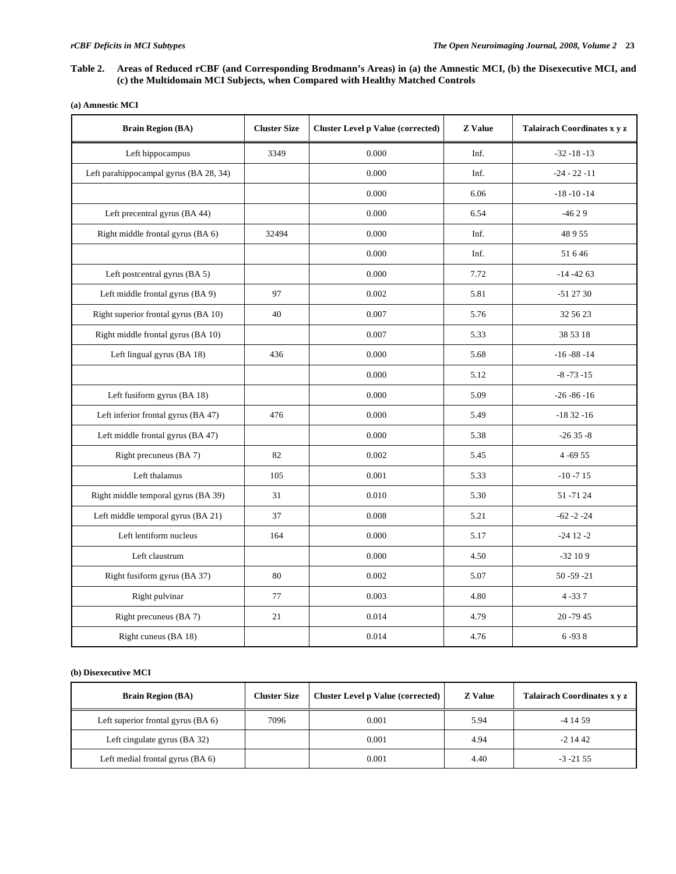# **Table 2. Areas of Reduced rCBF (and Corresponding Brodmann's Areas) in (a) the Amnestic MCI, (b) the Disexecutive MCI, and (c) the Multidomain MCI Subjects, when Compared with Healthy Matched Controls**

| <b>Brain Region (BA)</b>               | <b>Cluster Size</b> | <b>Cluster Level p Value (corrected)</b> | <b>Z</b> Value | Talairach Coordinates x y z |
|----------------------------------------|---------------------|------------------------------------------|----------------|-----------------------------|
| Left hippocampus                       | 3349                | 0.000                                    | Inf.           | $-32 - 18 - 13$             |
| Left parahippocampal gyrus (BA 28, 34) |                     | 0.000                                    | Inf.           | $-24 - 22 - 11$             |
|                                        |                     | 0.000                                    | 6.06           | $-18 - 10 - 14$             |
| Left precentral gyrus (BA 44)          |                     | 0.000                                    | 6.54           | $-4629$                     |
| Right middle frontal gyrus (BA 6)      | 32494               | 0.000                                    | Inf.           | 48955                       |
|                                        |                     | 0.000                                    | Inf.           | 51 6 46                     |
| Left postcentral gyrus (BA 5)          |                     | 0.000                                    | 7.72           | $-14 - 4263$                |
| Left middle frontal gyrus (BA 9)       | 97                  | 0.002                                    | 5.81           | $-512730$                   |
| Right superior frontal gyrus (BA 10)   | 40                  | 0.007                                    | 5.76           | 32 56 23                    |
| Right middle frontal gyrus (BA 10)     |                     | 0.007                                    | 5.33           | 38 53 18                    |
| Left lingual gyrus (BA 18)             | 436                 | 0.000                                    | 5.68           | $-16 - 88 - 14$             |
|                                        |                     | 0.000                                    | 5.12           | $-8 - 73 - 15$              |
| Left fusiform gyrus (BA 18)            |                     | 0.000                                    | 5.09           | $-26 - 86 - 16$             |
| Left inferior frontal gyrus (BA 47)    | 476                 | 0.000                                    | 5.49           | $-1832-16$                  |
| Left middle frontal gyrus (BA 47)      |                     | 0.000                                    | 5.38           | $-2635 - 8$                 |
| Right precuneus (BA 7)                 | 82                  | 0.002                                    | 5.45           | $4 - 6955$                  |
| Left thalamus                          | 105                 | 0.001                                    | 5.33           | $-10 - 715$                 |
| Right middle temporal gyrus (BA 39)    | 31                  | 0.010                                    | 5.30           | 51 - 71 24                  |
| Left middle temporal gyrus (BA 21)     | 37                  | 0.008                                    | 5.21           | $-62 - 2 - 24$              |
| Left lentiform nucleus                 | 164                 | 0.000                                    | 5.17           | $-24$ 12 $-2$               |
| Left claustrum                         |                     | 0.000                                    | 4.50           | $-32109$                    |
| Right fusiform gyrus (BA 37)           | 80                  | 0.002                                    | 5.07           | $50 - 59 - 21$              |
| Right pulvinar                         | 77                  | 0.003                                    | 4.80           | $4 - 337$                   |
| Right precuneus (BA 7)                 | 21                  | 0.014                                    | 4.79           | 20 - 79 45                  |
| Right cuneus (BA 18)                   |                     | 0.014                                    | 4.76           | $6 - 938$                   |

# **(b) Disexecutive MCI**

| <b>Brain Region (BA)</b>           | <b>Cluster Size</b> | <b>Cluster Level p Value (corrected)</b> | <b>Z</b> Value | Talairach Coordinates x y z |
|------------------------------------|---------------------|------------------------------------------|----------------|-----------------------------|
| Left superior frontal gyrus (BA 6) | 7096                | 0.001                                    | 5.94           | $-41459$                    |
| Left cingulate gyrus (BA 32)       |                     | 0.001                                    | 4.94           | $-21442$                    |
| Left medial frontal gyrus $(BA_6)$ |                     | 0.001                                    | 4.40           | $-3 - 21.55$                |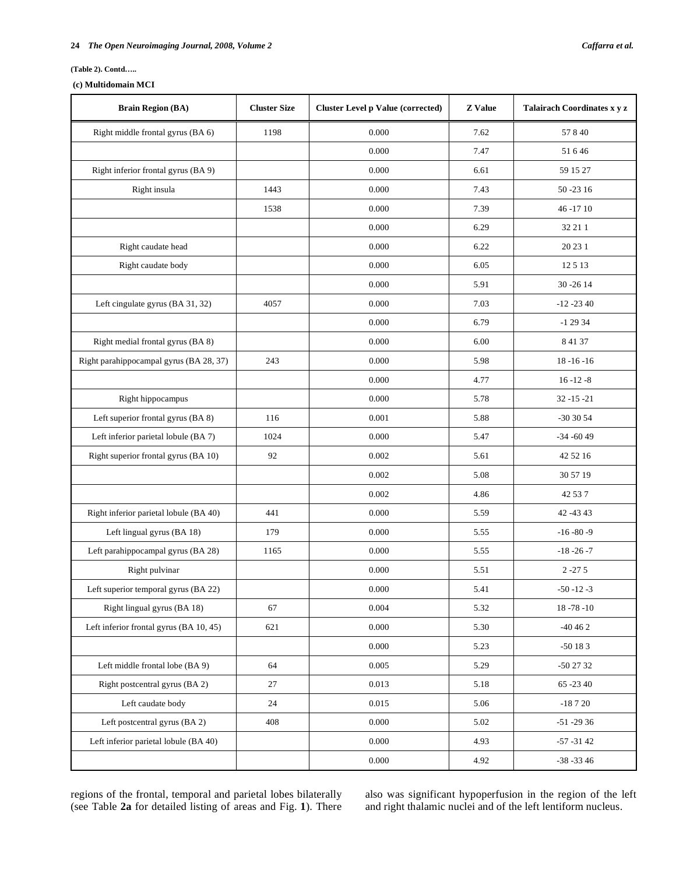#### **(Table 2). Contd…..**

# **(c) Multidomain MCI**

| <b>Brain Region (BA)</b>                | <b>Cluster Size</b> | <b>Cluster Level p Value (corrected)</b> | <b>Z</b> Value | Talairach Coordinates x y z |  |
|-----------------------------------------|---------------------|------------------------------------------|----------------|-----------------------------|--|
| Right middle frontal gyrus (BA 6)       | 1198                | 0.000                                    | 7.62           | 57840                       |  |
|                                         |                     | 0.000                                    | 7.47           | 51646                       |  |
| Right inferior frontal gyrus (BA 9)     |                     | 0.000                                    | 6.61           | 59 15 27                    |  |
| Right insula                            | 1443                | 0.000                                    | 7.43           | 50 - 23 16                  |  |
|                                         | 1538                | 0.000                                    | 7.39           | 46-1710                     |  |
|                                         |                     | 0.000                                    | 6.29           | 32 21 1                     |  |
| Right caudate head                      |                     | 0.000                                    | 6.22           | 20 23 1                     |  |
| Right caudate body                      |                     | 0.000                                    | 6.05           | 12513                       |  |
|                                         |                     | 0.000                                    | 5.91           | 30 - 26 14                  |  |
| Left cingulate gyrus (BA 31, 32)        | 4057                | 0.000                                    | 7.03           | $-12 - 2340$                |  |
|                                         |                     | 0.000                                    | 6.79           | $-12934$                    |  |
| Right medial frontal gyrus (BA 8)       |                     | 0.000                                    | 6.00           | 8 41 37                     |  |
| Right parahippocampal gyrus (BA 28, 37) | 243                 | 0.000                                    | 5.98           | $18 - 16 - 16$              |  |
|                                         |                     | 0.000                                    | 4.77           | $16 - 12 - 8$               |  |
| Right hippocampus                       |                     | 0.000                                    | 5.78           | $32 - 15 - 21$              |  |
| Left superior frontal gyrus (BA 8)      | 116                 | 0.001                                    | 5.88           | $-303054$                   |  |
| Left inferior parietal lobule (BA 7)    | 1024                | 0.000                                    | 5.47           | $-34 - 6049$                |  |
| Right superior frontal gyrus (BA 10)    | 92                  | 0.002                                    | 5.61           | 42 52 16                    |  |
|                                         |                     | 0.002                                    | 5.08           | 30 57 19                    |  |
|                                         |                     | 0.002                                    | 4.86           | 42 53 7                     |  |
| Right inferior parietal lobule (BA 40)  | 441                 | 0.000                                    | 5.59           | 42 - 43 43                  |  |
| Left lingual gyrus (BA 18)              | 179                 | 0.000                                    | 5.55           | $-16 - 80 - 9$              |  |
| Left parahippocampal gyrus (BA 28)      | 1165                | 0.000                                    | 5.55           | $-18 - 26 - 7$              |  |
| Right pulvinar                          |                     | 0.000                                    | 5.51           | $2 - 275$                   |  |
| Left superior temporal gyrus (BA 22)    |                     | 0.000                                    | 5.41           | $-50 - 12 - 3$              |  |
| Right lingual gyrus (BA 18)             | 67                  | 0.004                                    | 5.32           | $18 - 78 - 10$              |  |
| Left inferior frontal gyrus (BA 10, 45) | 621                 | $0.000\,$                                | 5.30           | $-40462$                    |  |
|                                         |                     | 0.000                                    | 5.23           | $-50183$                    |  |
| Left middle frontal lobe (BA 9)         | 64                  | 0.005                                    | 5.29           | $-502732$                   |  |
| Right postcentral gyrus (BA 2)          | 27                  | 0.013                                    | 5.18           | 65 - 23 40                  |  |
| Left caudate body                       | 24                  | 0.015                                    | 5.06           | $-18720$                    |  |
| Left postcentral gyrus (BA 2)           | 408                 | 0.000                                    | 5.02           | $-51 - 2936$                |  |
| Left inferior parietal lobule (BA 40)   |                     | 0.000                                    | 4.93           | $-57 - 3142$                |  |
|                                         |                     | 0.000                                    | 4.92           | $-38 - 3346$                |  |

regions of the frontal, temporal and parietal lobes bilaterally (see Table **2a** for detailed listing of areas and Fig. **1**). There

also was significant hypoperfusion in the region of the left and right thalamic nuclei and of the left lentiform nucleus.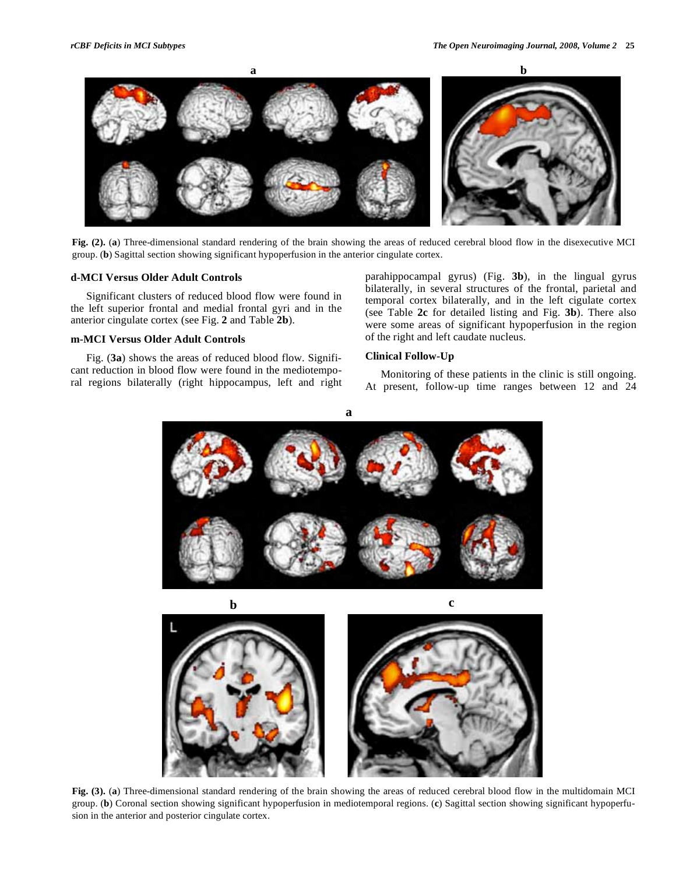

**Fig. (2).** (**a**) Three-dimensional standard rendering of the brain showing the areas of reduced cerebral blood flow in the disexecutive MCI group. (**b**) Sagittal section showing significant hypoperfusion in the anterior cingulate cortex.

### **d-MCI Versus Older Adult Controls**

 Significant clusters of reduced blood flow were found in the left superior frontal and medial frontal gyri and in the anterior cingulate cortex (see Fig. **2** and Table **2b**).

# **m-MCI Versus Older Adult Controls**

 Fig. (**3a**) shows the areas of reduced blood flow. Significant reduction in blood flow were found in the mediotemporal regions bilaterally (right hippocampus, left and right parahippocampal gyrus) (Fig. **3b**), in the lingual gyrus bilaterally, in several structures of the frontal, parietal and temporal cortex bilaterally, and in the left cigulate cortex (see Table **2c** for detailed listing and Fig. **3b**). There also were some areas of significant hypoperfusion in the region of the right and left caudate nucleus.

## **Clinical Follow-Up**

 Monitoring of these patients in the clinic is still ongoing. At present, follow-up time ranges between 12 and 24

**a**



**Fig. (3).** (**a**) Three-dimensional standard rendering of the brain showing the areas of reduced cerebral blood flow in the multidomain MCI group. (**b**) Coronal section showing significant hypoperfusion in mediotemporal regions. (**c**) Sagittal section showing significant hypoperfusion in the anterior and posterior cingulate cortex.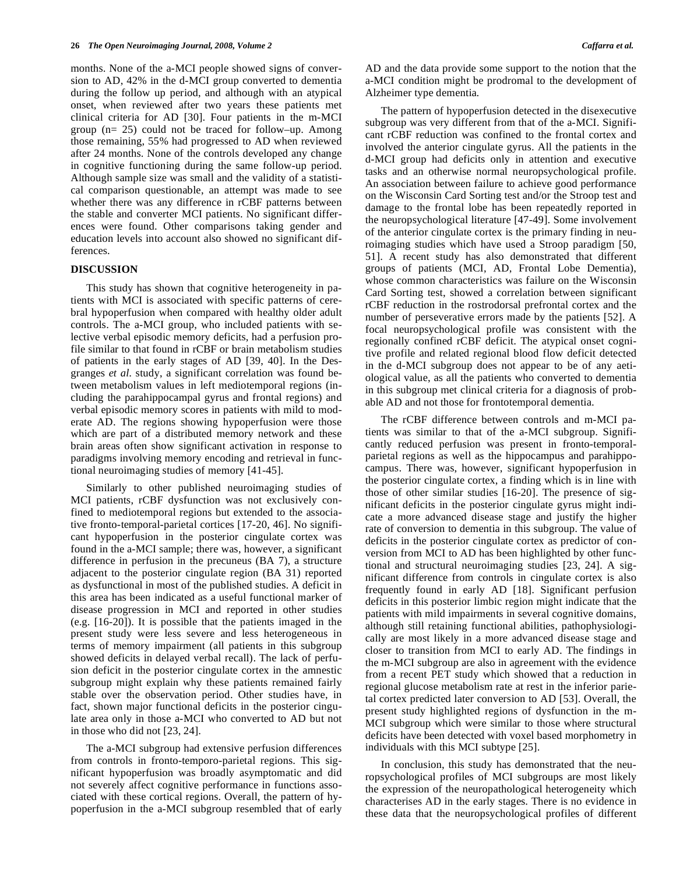months. None of the a-MCI people showed signs of conversion to AD, 42% in the d-MCI group converted to dementia during the follow up period, and although with an atypical onset, when reviewed after two years these patients met clinical criteria for AD [30]. Four patients in the m-MCI group (n= 25) could not be traced for follow–up. Among those remaining, 55% had progressed to AD when reviewed after 24 months. None of the controls developed any change in cognitive functioning during the same follow-up period. Although sample size was small and the validity of a statistical comparison questionable, an attempt was made to see whether there was any difference in rCBF patterns between the stable and converter MCI patients. No significant differences were found. Other comparisons taking gender and education levels into account also showed no significant differences.

## **DISCUSSION**

 This study has shown that cognitive heterogeneity in patients with MCI is associated with specific patterns of cerebral hypoperfusion when compared with healthy older adult controls. The a-MCI group, who included patients with selective verbal episodic memory deficits, had a perfusion profile similar to that found in rCBF or brain metabolism studies of patients in the early stages of AD [39, 40]. In the Desgranges *et al*. study, a significant correlation was found between metabolism values in left mediotemporal regions (including the parahippocampal gyrus and frontal regions) and verbal episodic memory scores in patients with mild to moderate AD. The regions showing hypoperfusion were those which are part of a distributed memory network and these brain areas often show significant activation in response to paradigms involving memory encoding and retrieval in functional neuroimaging studies of memory [41-45].

 Similarly to other published neuroimaging studies of MCI patients, rCBF dysfunction was not exclusively confined to mediotemporal regions but extended to the associative fronto-temporal-parietal cortices [17-20, 46]. No significant hypoperfusion in the posterior cingulate cortex was found in the a-MCI sample; there was, however, a significant difference in perfusion in the precuneus (BA 7), a structure adjacent to the posterior cingulate region (BA 31) reported as dysfunctional in most of the published studies. A deficit in this area has been indicated as a useful functional marker of disease progression in MCI and reported in other studies (e.g. [16-20]). It is possible that the patients imaged in the present study were less severe and less heterogeneous in terms of memory impairment (all patients in this subgroup showed deficits in delayed verbal recall). The lack of perfusion deficit in the posterior cingulate cortex in the amnestic subgroup might explain why these patients remained fairly stable over the observation period. Other studies have, in fact, shown major functional deficits in the posterior cingulate area only in those a-MCI who converted to AD but not in those who did not [23, 24].

 The a-MCI subgroup had extensive perfusion differences from controls in fronto-temporo-parietal regions. This significant hypoperfusion was broadly asymptomatic and did not severely affect cognitive performance in functions associated with these cortical regions. Overall, the pattern of hypoperfusion in the a-MCI subgroup resembled that of early

AD and the data provide some support to the notion that the a-MCI condition might be prodromal to the development of Alzheimer type dementia.

 The pattern of hypoperfusion detected in the disexecutive subgroup was very different from that of the a-MCI. Significant rCBF reduction was confined to the frontal cortex and involved the anterior cingulate gyrus. All the patients in the d-MCI group had deficits only in attention and executive tasks and an otherwise normal neuropsychological profile. An association between failure to achieve good performance on the Wisconsin Card Sorting test and/or the Stroop test and damage to the frontal lobe has been repeatedly reported in the neuropsychological literature [47-49]. Some involvement of the anterior cingulate cortex is the primary finding in neuroimaging studies which have used a Stroop paradigm [50, 51]. A recent study has also demonstrated that different groups of patients (MCI, AD, Frontal Lobe Dementia), whose common characteristics was failure on the Wisconsin Card Sorting test, showed a correlation between significant rCBF reduction in the rostrodorsal prefrontal cortex and the number of perseverative errors made by the patients [52]. A focal neuropsychological profile was consistent with the regionally confined rCBF deficit. The atypical onset cognitive profile and related regional blood flow deficit detected in the d-MCI subgroup does not appear to be of any aetiological value, as all the patients who converted to dementia in this subgroup met clinical criteria for a diagnosis of probable AD and not those for frontotemporal dementia.

 The rCBF difference between controls and m-MCI patients was similar to that of the a-MCI subgroup. Significantly reduced perfusion was present in fronto-temporalparietal regions as well as the hippocampus and parahippocampus. There was, however, significant hypoperfusion in the posterior cingulate cortex, a finding which is in line with those of other similar studies [16-20]. The presence of significant deficits in the posterior cingulate gyrus might indicate a more advanced disease stage and justify the higher rate of conversion to dementia in this subgroup. The value of deficits in the posterior cingulate cortex as predictor of conversion from MCI to AD has been highlighted by other functional and structural neuroimaging studies [23, 24]. A significant difference from controls in cingulate cortex is also frequently found in early AD [18]. Significant perfusion deficits in this posterior limbic region might indicate that the patients with mild impairments in several cognitive domains, although still retaining functional abilities, pathophysiologically are most likely in a more advanced disease stage and closer to transition from MCI to early AD. The findings in the m-MCI subgroup are also in agreement with the evidence from a recent PET study which showed that a reduction in regional glucose metabolism rate at rest in the inferior parietal cortex predicted later conversion to AD [53]. Overall, the present study highlighted regions of dysfunction in the m-MCI subgroup which were similar to those where structural deficits have been detected with voxel based morphometry in individuals with this MCI subtype [25].

 In conclusion, this study has demonstrated that the neuropsychological profiles of MCI subgroups are most likely the expression of the neuropathological heterogeneity which characterises AD in the early stages. There is no evidence in these data that the neuropsychological profiles of different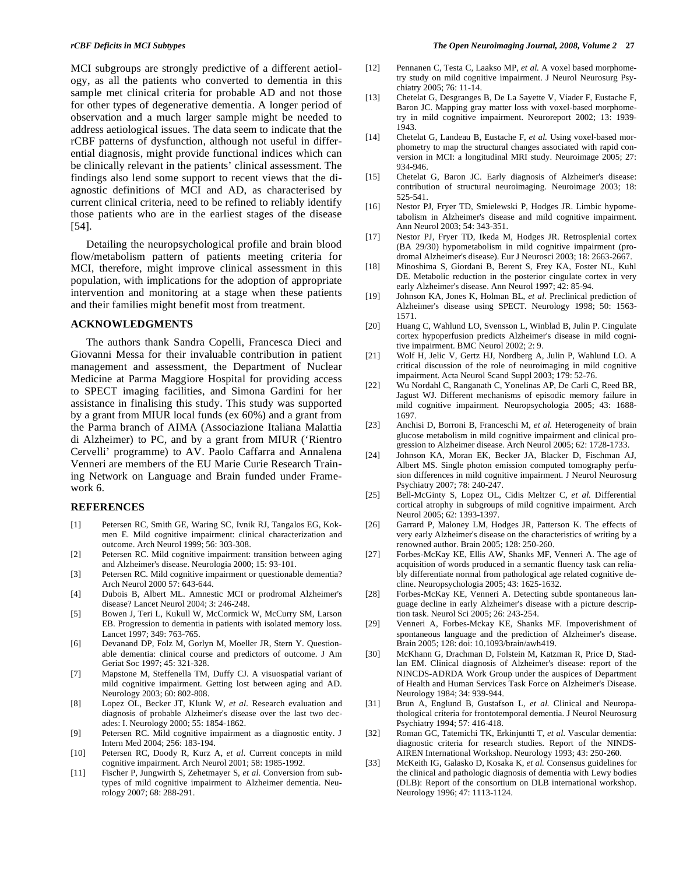MCI subgroups are strongly predictive of a different aetiology, as all the patients who converted to dementia in this sample met clinical criteria for probable AD and not those for other types of degenerative dementia. A longer period of observation and a much larger sample might be needed to address aetiological issues. The data seem to indicate that the rCBF patterns of dysfunction, although not useful in differential diagnosis, might provide functional indices which can be clinically relevant in the patients' clinical assessment. The findings also lend some support to recent views that the diagnostic definitions of MCI and AD, as characterised by current clinical criteria, need to be refined to reliably identify those patients who are in the earliest stages of the disease [54].

 Detailing the neuropsychological profile and brain blood flow/metabolism pattern of patients meeting criteria for MCI, therefore, might improve clinical assessment in this population, with implications for the adoption of appropriate intervention and monitoring at a stage when these patients and their families might benefit most from treatment.

# **ACKNOWLEDGMENTS**

 The authors thank Sandra Copelli, Francesca Dieci and Giovanni Messa for their invaluable contribution in patient management and assessment, the Department of Nuclear Medicine at Parma Maggiore Hospital for providing access to SPECT imaging facilities, and Simona Gardini for her assistance in finalising this study. This study was supported by a grant from MIUR local funds (ex 60%) and a grant from the Parma branch of AIMA (Associazione Italiana Malattia di Alzheimer) to PC, and by a grant from MIUR ('Rientro Cervelli' programme) to AV. Paolo Caffarra and Annalena Venneri are members of the EU Marie Curie Research Training Network on Language and Brain funded under Framework 6.

# **REFERENCES**

- [1] Petersen RC, Smith GE, Waring SC, Ivnik RJ, Tangalos EG, Kokmen E. Mild cognitive impairment: clinical characterization and outcome. Arch Neurol 1999; 56: 303-308.
- [2] Petersen RC. Mild cognitive impairment: transition between aging and Alzheimer's disease. Neurologia 2000; 15: 93-101.
- [3] Petersen RC. Mild cognitive impairment or questionable dementia? Arch Neurol 2000 57: 643-644.
- [4] Dubois B, Albert ML. Amnestic MCI or prodromal Alzheimer's disease? Lancet Neurol 2004; 3: 246-248.
- [5] Bowen J, Teri L, Kukull W, McCormick W, McCurry SM, Larson EB. Progression to dementia in patients with isolated memory loss. Lancet 1997; 349: 763-765.
- [6] Devanand DP, Folz M, Gorlyn M, Moeller JR, Stern Y. Questionable dementia: clinical course and predictors of outcome. J Am Geriat Soc 1997; 45: 321-328.
- [7] Mapstone M, Steffenella TM, Duffy CJ. A visuospatial variant of mild cognitive impairment. Getting lost between aging and AD. Neurology 2003; 60: 802-808.
- [8] Lopez OL, Becker JT, Klunk W, *et al.* Research evaluation and diagnosis of probable Alzheimer's disease over the last two decades: I. Neurology 2000; 55: 1854-1862.
- [9] Petersen RC. Mild cognitive impairment as a diagnostic entity. J Intern Med 2004; 256: 183-194.
- [10] Petersen RC, Doody R, Kurz A, *et al.* Current concepts in mild cognitive impairment. Arch Neurol 2001; 58: 1985-1992.
- [11] Fischer P, Jungwirth S, Zehetmayer S, *et al.* Conversion from subtypes of mild cognitive impairment to Alzheimer dementia. Neurology 2007; 68: 288-291.
- [12] Pennanen C, Testa C, Laakso MP, *et al.* A voxel based morphometry study on mild cognitive impairment. J Neurol Neurosurg Psychiatry 2005; 76: 11-14.
- [13] Chetelat G, Desgranges B, De La Sayette V, Viader F, Eustache F, Baron JC. Mapping gray matter loss with voxel-based morphometry in mild cognitive impairment. Neuroreport 2002; 13: 1939- 1943.
- [14] Chetelat G, Landeau B, Eustache F, et al. Using voxel-based morphometry to map the structural changes associated with rapid conversion in MCI: a longitudinal MRI study. Neuroimage 2005; 27: 934-946.
- [15] Chetelat G, Baron JC. Early diagnosis of Alzheimer's disease: contribution of structural neuroimaging. Neuroimage 2003; 18: 525-541.
- [16] Nestor PJ, Fryer TD, Smielewski P, Hodges JR. Limbic hypometabolism in Alzheimer's disease and mild cognitive impairment. Ann Neurol 2003; 54: 343-351.
- [17] Nestor PJ, Fryer TD, Ikeda M, Hodges JR. Retrosplenial cortex (BA 29/30) hypometabolism in mild cognitive impairment (prodromal Alzheimer's disease). Eur J Neurosci 2003; 18: 2663-2667.
- [18] Minoshima S, Giordani B, Berent S, Frey KA, Foster NL, Kuhl DE. Metabolic reduction in the posterior cingulate cortex in very early Alzheimer's disease. Ann Neurol 1997; 42: 85-94.
- [19] Johnson KA, Jones K, Holman BL, *et al*. Preclinical prediction of Alzheimer's disease using SPECT. Neurology 1998; 50: 1563- 1571.
- [20] Huang C, Wahlund LO, Svensson L, Winblad B, Julin P. Cingulate cortex hypoperfusion predicts Alzheimer's disease in mild cognitive impairment. BMC Neurol 2002; 2: 9.
- [21] Wolf H, Jelic V, Gertz HJ, Nordberg A, Julin P, Wahlund LO. A critical discussion of the role of neuroimaging in mild cognitive impairment. Acta Neurol Scand Suppl 2003; 179: 52-76.
- [22] Wu Nordahl C, Ranganath C, Yonelinas AP, De Carli C, Reed BR, Jagust WJ. Different mechanisms of episodic memory failure in mild cognitive impairment. Neuropsychologia 2005; 43: 1688- 1697.
- [23] Anchisi D, Borroni B, Franceschi M, *et al.* Heterogeneity of brain glucose metabolism in mild cognitive impairment and clinical progression to Alzheimer disease. Arch Neurol 2005; 62: 1728-1733.
- [24] Johnson KA, Moran EK, Becker JA, Blacker D, Fischman AJ, Albert MS. Single photon emission computed tomography perfusion differences in mild cognitive impairment. J Neurol Neurosurg Psychiatry 2007; 78: 240-247.
- [25] Bell-McGinty S, Lopez OL, Cidis Meltzer C, *et al.* Differential cortical atrophy in subgroups of mild cognitive impairment. Arch Neurol 2005; 62: 1393-1397.
- [26] Garrard P, Maloney LM, Hodges JR, Patterson K. The effects of very early Alzheimer's disease on the characteristics of writing by a renowned author. Brain 2005; 128: 250-260.
- [27] Forbes-McKay KE, Ellis AW, Shanks MF, Venneri A. The age of acquisition of words produced in a semantic fluency task can reliably differentiate normal from pathological age related cognitive decline. Neuropsychologia 2005; 43: 1625-1632.
- [28] Forbes-McKay KE, Venneri A. Detecting subtle spontaneous language decline in early Alzheimer's disease with a picture description task. Neurol Sci 2005; 26: 243-254.
- [29] Venneri A, Forbes-Mckay KE, Shanks MF. Impoverishment of spontaneous language and the prediction of Alzheimer's disease. Brain 2005; 128: doi: 10.1093/brain/awh419.
- [30] McKhann G, Drachman D, Folstein M, Katzman R, Price D, Stadlan EM. Clinical diagnosis of Alzheimer's disease: report of the NINCDS-ADRDA Work Group under the auspices of Department of Health and Human Services Task Force on Alzheimer's Disease. Neurology 1984; 34: 939-944.
- [31] Brun A, Englund B, Gustafson L, et al. Clinical and Neuropathological criteria for frontotemporal dementia. J Neurol Neurosurg Psychiatry 1994; 57: 416-418.
- [32] Roman GC, Tatemichi TK, Erkinjuntti T, *et al*. Vascular dementia: diagnostic criteria for research studies. Report of the NINDS-AIREN International Workshop. Neurology 1993; 43: 250-260.
- [33] McKeith IG, Galasko D, Kosaka K, *et al.* Consensus guidelines for the clinical and pathologic diagnosis of dementia with Lewy bodies (DLB): Report of the consortium on DLB international workshop. Neurology 1996; 47: 1113-1124.